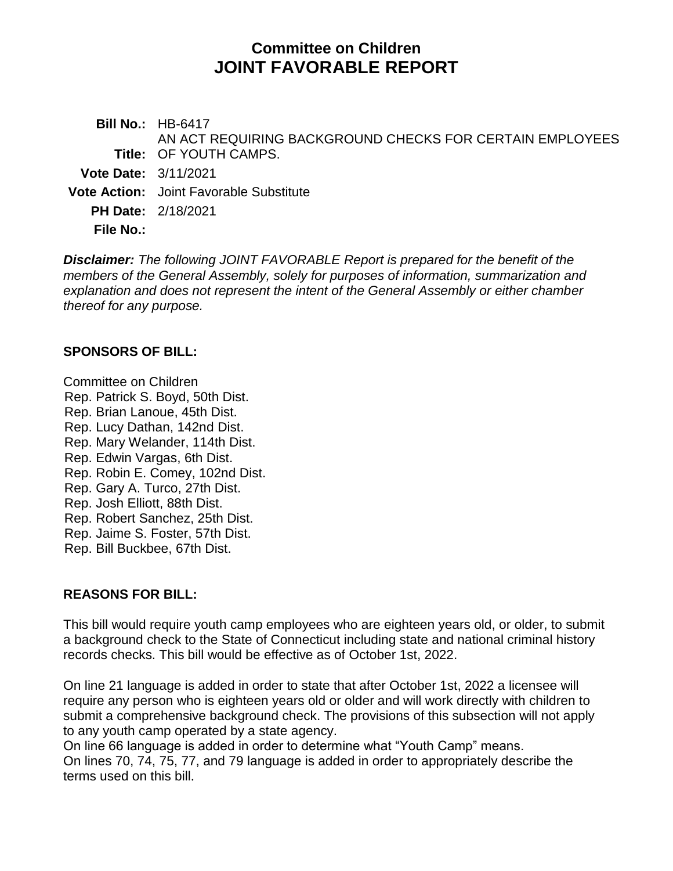# **Committee on Children JOINT FAVORABLE REPORT**

**Bill No.:** HB-6417 **Title:** OF YOUTH CAMPS. AN ACT REQUIRING BACKGROUND CHECKS FOR CERTAIN EMPLOYEES **Vote Date:** 3/11/2021 **Vote Action:** Joint Favorable Substitute **PH Date:** 2/18/2021

**File No.:**

*Disclaimer: The following JOINT FAVORABLE Report is prepared for the benefit of the members of the General Assembly, solely for purposes of information, summarization and explanation and does not represent the intent of the General Assembly or either chamber thereof for any purpose.*

#### **SPONSORS OF BILL:**

Committee on Children Rep. Patrick S. Boyd, 50th Dist. Rep. Brian Lanoue, 45th Dist. [Rep. Lucy Dathan, 142nd](https://www.cga.ct.gov/asp/CGABillStatus/CGAMemberBills.asp?dist_code=%27142%27) [Dist.](https://www.cga.ct.gov/asp/CGABillStatus/CGAMemberBills.asp?dist_code=%27142%27) Rep. Mary Welander, 114th Dist. Rep. Edwin Vargas, 6th Dist. Rep. Robin E. Comey, 102nd Dist. Rep. Gary A. Turco, 27th Dist. Rep. Josh Elliott, 88th Dist. Rep. Robert Sanchez, 25th Dist. Rep. Jaime S. Foster, 57th Dist. Rep. Bill Buckbee, 67th Dist.

#### **REASONS FOR BILL:**

This bill would require youth camp employees who are eighteen years old, or older, to submit a background check to the State of Connecticut including state and national criminal history records checks. This bill would be effective as of October 1st, 2022.

On line 21 language is added in order to state that after October 1st, 2022 a licensee will require any person who is eighteen years old or older and will work directly with children to submit a comprehensive background check. The provisions of this subsection will not apply to any youth camp operated by a state agency.

On line 66 language is added in order to determine what "Youth Camp" means. On lines 70, 74, 75, 77, and 79 language is added in order to appropriately describe the terms used on this bill.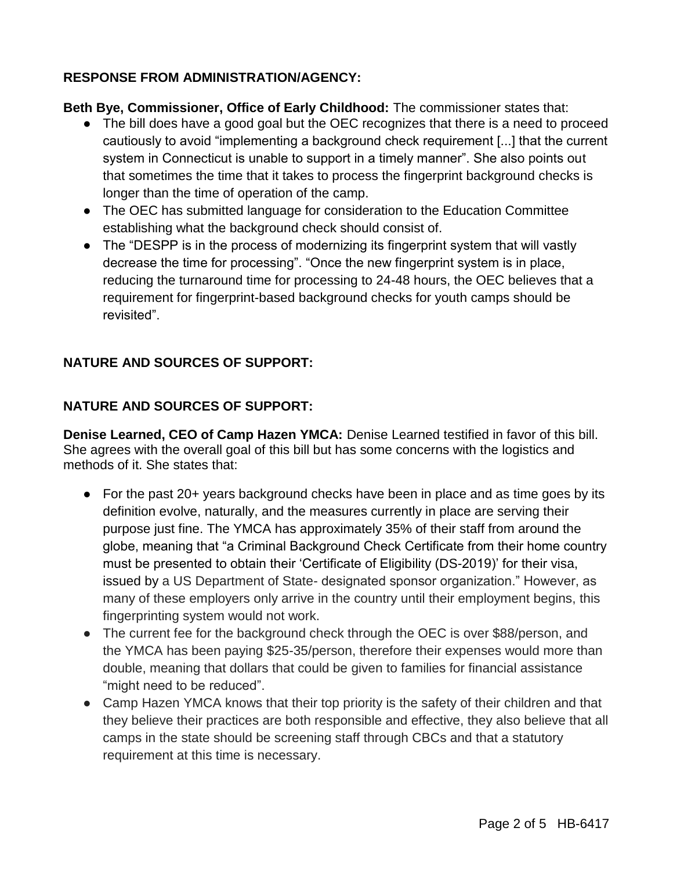## **RESPONSE FROM ADMINISTRATION/AGENCY:**

**Beth Bye, Commissioner, Office of Early Childhood:** The commissioner states that:

- The bill does have a good goal but the OEC recognizes that there is a need to proceed cautiously to avoid "implementing a background check requirement [...] that the current system in Connecticut is unable to support in a timely manner". She also points out that sometimes the time that it takes to process the fingerprint background checks is longer than the time of operation of the camp.
- The OEC has submitted language for consideration to the Education Committee establishing what the background check should consist of.
- The "DESPP is in the process of modernizing its fingerprint system that will vastly decrease the time for processing". "Once the new fingerprint system is in place, reducing the turnaround time for processing to 24-48 hours, the OEC believes that a requirement for fingerprint-based background checks for youth camps should be revisited".

## **NATURE AND SOURCES OF SUPPORT:**

#### **NATURE AND SOURCES OF SUPPORT:**

**Denise Learned, CEO of Camp Hazen YMCA:** Denise Learned testified in favor of this bill. She agrees with the overall goal of this bill but has some concerns with the logistics and methods of it. She states that:

- For the past 20+ years background checks have been in place and as time goes by its definition evolve, naturally, and the measures currently in place are serving their purpose just fine. The YMCA has approximately 35% of their staff from around the globe, meaning that "a Criminal Background Check Certificate from their home country must be presented to obtain their 'Certificate of Eligibility (DS-2019)' for their visa, issued by a US Department of State- designated sponsor organization." However, as many of these employers only arrive in the country until their employment begins, this fingerprinting system would not work.
- The current fee for the background check through the OEC is over \$88/person, and the YMCA has been paying \$25-35/person, therefore their expenses would more than double, meaning that dollars that could be given to families for financial assistance "might need to be reduced".
- Camp Hazen YMCA knows that their top priority is the safety of their children and that they believe their practices are both responsible and effective, they also believe that all camps in the state should be screening staff through CBCs and that a statutory requirement at this time is necessary.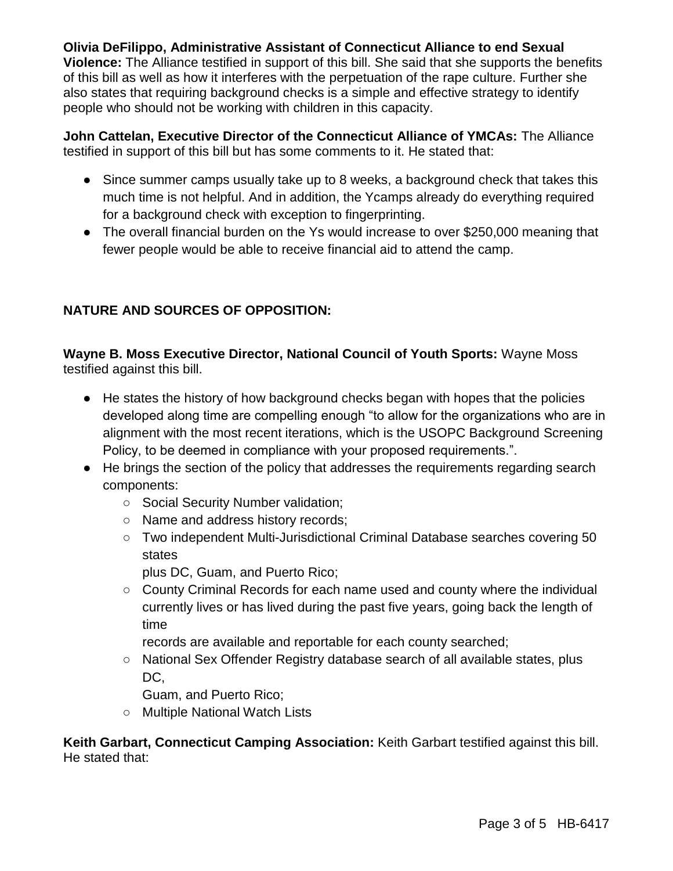# **Olivia DeFilippo, Administrative Assistant of Connecticut Alliance to end Sexual**

**Violence:** The Alliance testified in support of this bill. She said that she supports the benefits of this bill as well as how it interferes with the perpetuation of the rape culture. Further she also states that requiring background checks is a simple and effective strategy to identify people who should not be working with children in this capacity.

**John Cattelan, Executive Director of the Connecticut Alliance of YMCAs:** The Alliance testified in support of this bill but has some comments to it. He stated that:

- Since summer camps usually take up to 8 weeks, a background check that takes this much time is not helpful. And in addition, the Ycamps already do everything required for a background check with exception to fingerprinting.
- The overall financial burden on the Ys would increase to over \$250,000 meaning that fewer people would be able to receive financial aid to attend the camp.

## **NATURE AND SOURCES OF OPPOSITION:**

**Wayne B. Moss Executive Director, National Council of Youth Sports:** Wayne Moss testified against this bill.

- He states the history of how background checks began with hopes that the policies developed along time are compelling enough "to allow for the organizations who are in alignment with the most recent iterations, which is the USOPC Background Screening Policy, to be deemed in compliance with your proposed requirements.".
- He brings the section of the policy that addresses the requirements regarding search components:
	- Social Security Number validation;
	- Name and address history records;
	- Two independent Multi-Jurisdictional Criminal Database searches covering 50 states

plus DC, Guam, and Puerto Rico;

○ County Criminal Records for each name used and county where the individual currently lives or has lived during the past five years, going back the length of time

records are available and reportable for each county searched;

○ National Sex Offender Registry database search of all available states, plus DC,

Guam, and Puerto Rico;

○ Multiple National Watch Lists

**Keith Garbart, Connecticut Camping Association:** Keith Garbart testified against this bill. He stated that: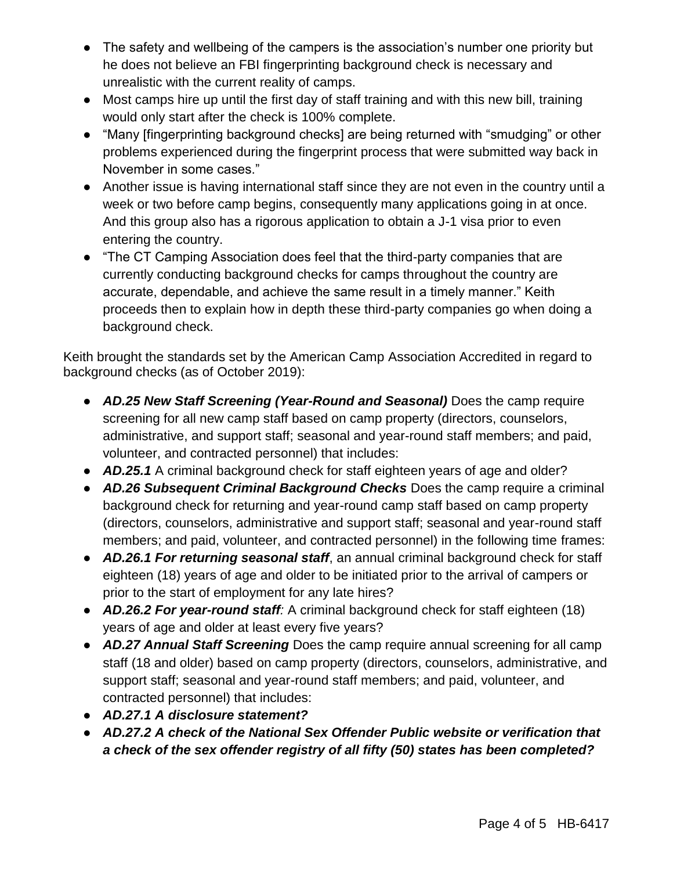- The safety and wellbeing of the campers is the association's number one priority but he does not believe an FBI fingerprinting background check is necessary and unrealistic with the current reality of camps.
- Most camps hire up until the first day of staff training and with this new bill, training would only start after the check is 100% complete.
- "Many [fingerprinting background checks] are being returned with "smudging" or other problems experienced during the fingerprint process that were submitted way back in November in some cases."
- Another issue is having international staff since they are not even in the country until a week or two before camp begins, consequently many applications going in at once. And this group also has a rigorous application to obtain a J-1 visa prior to even entering the country.
- "The CT Camping Association does feel that the third-party companies that are currently conducting background checks for camps throughout the country are accurate, dependable, and achieve the same result in a timely manner." Keith proceeds then to explain how in depth these third-party companies go when doing a background check.

Keith brought the standards set by the American Camp Association Accredited in regard to background checks (as of October 2019):

- *AD.25 New Staff Screening (Year-Round and Seasonal)* Does the camp require screening for all new camp staff based on camp property (directors, counselors, administrative, and support staff; seasonal and year-round staff members; and paid, volunteer, and contracted personnel) that includes:
- *AD.25.1* A criminal background check for staff eighteen years of age and older?
- *AD.26 Subsequent Criminal Background Checks* Does the camp require a criminal background check for returning and year-round camp staff based on camp property (directors, counselors, administrative and support staff; seasonal and year-round staff members; and paid, volunteer, and contracted personnel) in the following time frames:
- *AD.26.1 For returning seasonal staff*, an annual criminal background check for staff eighteen (18) years of age and older to be initiated prior to the arrival of campers or prior to the start of employment for any late hires?
- *AD.26.2 For year-round staff:* A criminal background check for staff eighteen (18) years of age and older at least every five years?
- *AD.27 Annual Staff Screening* Does the camp require annual screening for all camp staff (18 and older) based on camp property (directors, counselors, administrative, and support staff; seasonal and year-round staff members; and paid, volunteer, and contracted personnel) that includes:
- *AD.27.1 A disclosure statement?*
- *AD.27.2 A check of the National Sex Offender Public website or verification that a check of the sex offender registry of all fifty (50) states has been completed?*